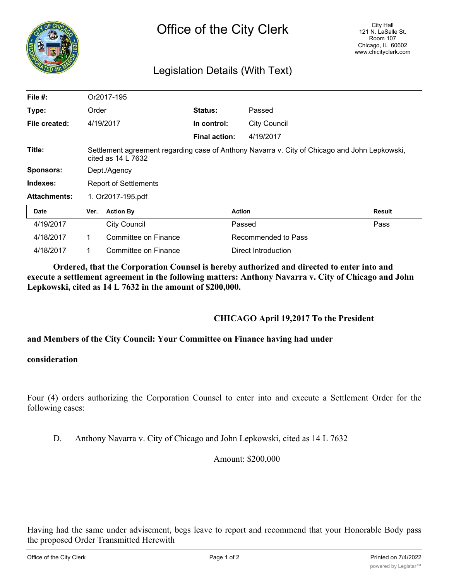

# Legislation Details (With Text)

| File $#$ :          | Or2017-195                                                                                                                    |                      |                      |                     |        |
|---------------------|-------------------------------------------------------------------------------------------------------------------------------|----------------------|----------------------|---------------------|--------|
| Type:               | Order                                                                                                                         |                      | <b>Status:</b>       | Passed              |        |
| File created:       |                                                                                                                               | 4/19/2017            | In control:          | <b>City Council</b> |        |
|                     |                                                                                                                               |                      | <b>Final action:</b> | 4/19/2017           |        |
| Title:              | Settlement agreement regarding case of Anthony Navarra v. City of Chicago and John Lepkowski,<br>cited as $14 \text{ L}$ 7632 |                      |                      |                     |        |
| <b>Sponsors:</b>    | Dept./Agency                                                                                                                  |                      |                      |                     |        |
| Indexes:            | <b>Report of Settlements</b>                                                                                                  |                      |                      |                     |        |
| <b>Attachments:</b> | 1. Or2017-195.pdf                                                                                                             |                      |                      |                     |        |
| <b>Date</b>         | Ver.                                                                                                                          | <b>Action By</b>     |                      | <b>Action</b>       | Result |
| 4/19/2017           |                                                                                                                               | <b>City Council</b>  |                      | Passed              | Pass   |
| 4/18/2017           | 1.                                                                                                                            | Committee on Finance |                      | Recommended to Pass |        |
| 4/18/2017           | 1                                                                                                                             | Committee on Finance |                      | Direct Introduction |        |

**Ordered, that the Corporation Counsel is hereby authorized and directed to enter into and execute a settlement agreement in the following matters: Anthony Navarra v. City of Chicago and John Lepkowski, cited as 14 L 7632 in the amount of \$200,000.**

### **CHICAGO April 19,2017 To the President**

### **and Members of the City Council: Your Committee on Finance having had under**

#### **consideration**

Four (4) orders authorizing the Corporation Counsel to enter into and execute a Settlement Order for the following cases:

D. Anthony Navarra v. City of Chicago and John Lepkowski, cited as 14 L 7632

Amount: \$200,000

Having had the same under advisement, begs leave to report and recommend that your Honorable Body pass the proposed Order Transmitted Herewith